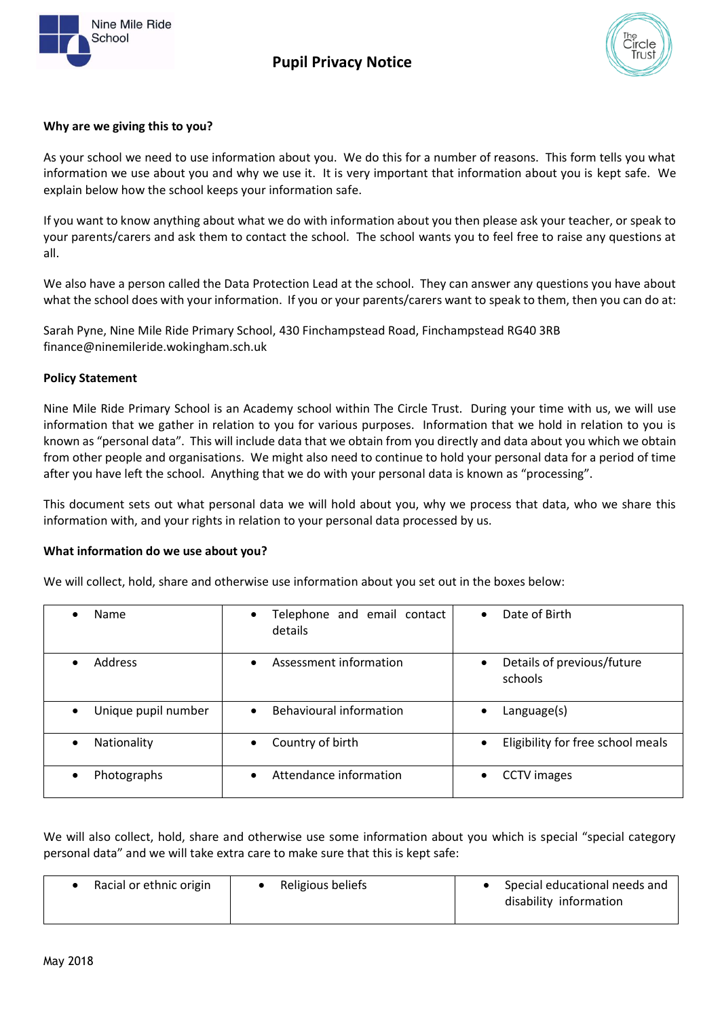

# **Pupil Privacy Notice**



## **Why are we giving this to you?**

As your school we need to use information about you. We do this for a number of reasons. This form tells you what information we use about you and why we use it. It is very important that information about you is kept safe. We explain below how the school keeps your information safe.

If you want to know anything about what we do with information about you then please ask your teacher, or speak to your parents/carers and ask them to contact the school. The school wants you to feel free to raise any questions at all.

We also have a person called the Data Protection Lead at the school. They can answer any questions you have about what the school does with your information. If you or your parents/carers want to speak to them, then you can do at:

Sarah Pyne, Nine Mile Ride Primary School, 430 Finchampstead Road, Finchampstead RG40 3RB finance@ninemileride.wokingham.sch.uk

## **Policy Statement**

Nine Mile Ride Primary School is an Academy school within The Circle Trust. During your time with us, we will use information that we gather in relation to you for various purposes. Information that we hold in relation to you is known as "personal data". This will include data that we obtain from you directly and data about you which we obtain from other people and organisations. We might also need to continue to hold your personal data for a period of time after you have left the school. Anything that we do with your personal data is known as "processing".

This document sets out what personal data we will hold about you, why we process that data, who we share this information with, and your rights in relation to your personal data processed by us.

## **What information do we use about you?**

We will collect, hold, share and otherwise use information about you set out in the boxes below:

| Name                | Telephone and email contact<br>$\bullet$<br>details | Date of Birth<br>$\bullet$                         |
|---------------------|-----------------------------------------------------|----------------------------------------------------|
| Address             | Assessment information                              | Details of previous/future<br>$\bullet$<br>schools |
| Unique pupil number | <b>Behavioural information</b><br>$\bullet$         | Language(s)<br>$\bullet$                           |
| Nationality         | Country of birth                                    | Eligibility for free school meals<br>$\bullet$     |
| Photographs         | Attendance information                              | <b>CCTV</b> images<br>$\bullet$                    |

We will also collect, hold, share and otherwise use some information about you which is special "special category personal data" and we will take extra care to make sure that this is kept safe:

| Racial or ethnic origin | Religious beliefs | Special educational needs and<br>disability information |
|-------------------------|-------------------|---------------------------------------------------------|
|                         |                   |                                                         |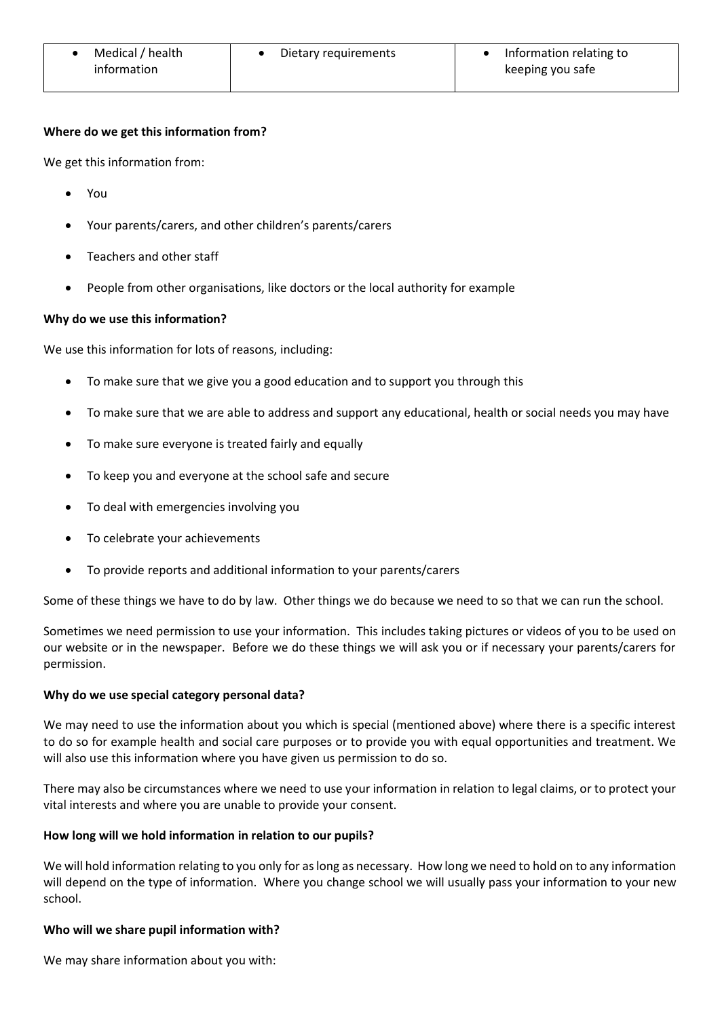| Medical / health | Dietary requirements | Information relating to |
|------------------|----------------------|-------------------------|
| information      |                      | keeping you safe        |

## **Where do we get this information from?**

We get this information from:

- You
- Your parents/carers, and other children's parents/carers
- Teachers and other staff
- People from other organisations, like doctors or the local authority for example

## **Why do we use this information?**

We use this information for lots of reasons, including:

- To make sure that we give you a good education and to support you through this
- To make sure that we are able to address and support any educational, health or social needs you may have
- To make sure everyone is treated fairly and equally
- To keep you and everyone at the school safe and secure
- To deal with emergencies involving you
- To celebrate your achievements
- To provide reports and additional information to your parents/carers

Some of these things we have to do by law. Other things we do because we need to so that we can run the school.

Sometimes we need permission to use your information. This includes taking pictures or videos of you to be used on our website or in the newspaper. Before we do these things we will ask you or if necessary your parents/carers for permission.

## **Why do we use special category personal data?**

We may need to use the information about you which is special (mentioned above) where there is a specific interest to do so for example health and social care purposes or to provide you with equal opportunities and treatment. We will also use this information where you have given us permission to do so.

There may also be circumstances where we need to use your information in relation to legal claims, or to protect your vital interests and where you are unable to provide your consent.

## **How long will we hold information in relation to our pupils?**

We will hold information relating to you only for as long as necessary. How long we need to hold on to any information will depend on the type of information. Where you change school we will usually pass your information to your new school.

## **Who will we share pupil information with?**

We may share information about you with: